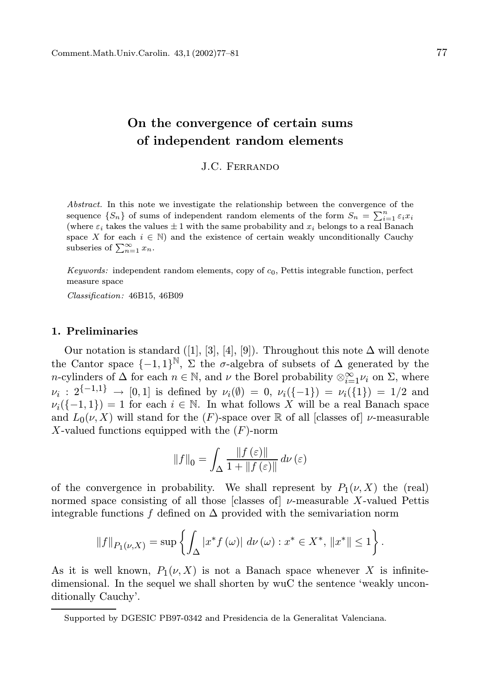# On the convergence of certain sums of independent random elements

J.C. Ferrando

Abstract. In this note we investigate the relationship between the convergence of the sequence  $\{S_n\}$  of sums of independent random elements of the form  $S_n = \sum_{i=1}^n \varepsilon_i x_i$ (where  $\varepsilon_i$  takes the values  $\pm 1$  with the same probability and  $x_i$  belongs to a real Banach space X for each  $i \in \mathbb{N}$ ) and the existence of certain weakly unconditionally Cauchy subseries of  $\sum_{n=1}^{\infty} x_n$ .

Keywords: independent random elements, copy of  $c_0$ , Pettis integrable function, perfect measure space

Classification: 46B15, 46B09

# 1. Preliminaries

Our notation is standard ([1], [3], [4], [9]). Throughout this note  $\Delta$  will denote the Cantor space  $\{-1,1\}^{\mathbb{N}}, \ \Sigma$  the  $\sigma$ -algebra of subsets of  $\Delta$  generated by the n-cylinders of  $\Delta$  for each  $n \in \mathbb{N}$ , and  $\nu$  the Borel probability  $\otimes_{i=1}^{\infty} \nu_i$  on  $\Sigma$ , where  $\nu_i: 2^{\{-1,1\}} \to [0,1]$  is defined by  $\nu_i(\emptyset) = 0$ ,  $\nu_i(\{-1\}) = \nu_i(\{1\}) = 1/2$  and  $\nu_i(\{-1,1\}) = 1$  for each  $i \in \mathbb{N}$ . In what follows X will be a real Banach space and  $L_0(\nu, X)$  will stand for the  $(F)$ -space over R of all [classes of]  $\nu$ -measurable X-valued functions equipped with the  $(F)$ -norm

$$
||f||_0 = \int_{\Delta} \frac{||f(\varepsilon)||}{1 + ||f(\varepsilon)||} d\nu(\varepsilon)
$$

of the convergence in probability. We shall represent by  $P_1(\nu, X)$  the (real) normed space consisting of all those [classes of]  $\nu$ -measurable X-valued Pettis integrable functions f defined on  $\Delta$  provided with the semivariation norm

$$
||f||_{P_1(\nu,X)} = \sup \left\{ \int_{\Delta} |x^* f(\omega)| \ d\nu(\omega) : x^* \in X^*, \ ||x^*|| \le 1 \right\}.
$$

As it is well known,  $P_1(\nu, X)$  is not a Banach space whenever X is infinitedimensional. In the sequel we shall shorten by wuC the sentence 'weakly unconditionally Cauchy'.

Supported by DGESIC PB97-0342 and Presidencia de la Generalitat Valenciana.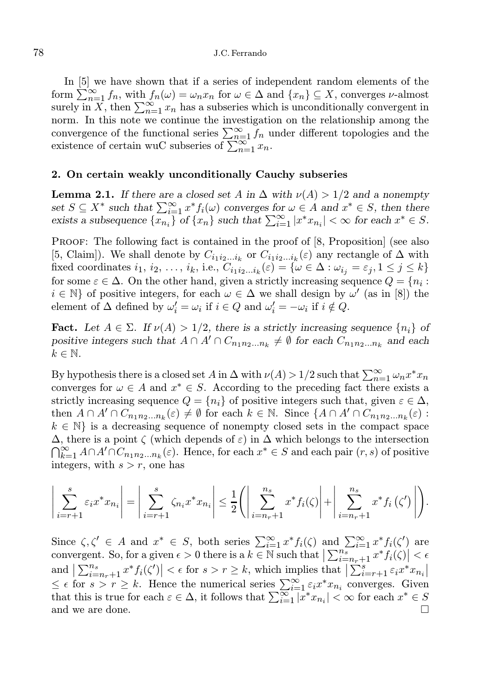# 78 J.C. Ferrando

In [5] we have shown that if a series of independent random elements of the form  $\sum_{n=1}^{\infty} f_n$ , with  $f_n(\omega) = \omega_n x_n$  for  $\omega \in \Delta$  and  $\{x_n\} \subseteq X$ , converges  $\nu$ -almost surely in X, then  $\sum_{n=1}^{\infty} x_n$  has a subseries which is unconditionally convergent in norm. In this note we continue the investigation on the relationship among the convergence of the functional series  $\sum_{n=1}^{\infty} f_n$  under different topologies and the existence of certain wuC subseries of  $\sum_{n=1}^{\infty} x_n$ .

### 2. On certain weakly unconditionally Cauchy subseries

**Lemma 2.1.** If there are a closed set A in  $\Delta$  with  $\nu(A) > 1/2$  and a nonempty set  $S \subseteq X^*$  such that  $\sum_{i=1}^{\infty} x^* f_i(\omega)$  converges for  $\omega \in A$  and  $x^* \in S$ , then there exists a subsequence  $\{x_{n_i}\}\$  of  $\{x_n\}$  such that  $\sum_{i=1}^{\infty} |x^*x_{n_i}| < \infty$  for each  $x^* \in S$ .

PROOF: The following fact is contained in the proof of [8, Proposition] (see also [5, Claim]). We shall denote by  $C_{i_1 i_2 \ldots i_k}$  or  $C_{i_1 i_2 \ldots i_k}(\varepsilon)$  any rectangle of  $\Delta$  with fixed coordinates  $i_1, i_2, \ldots, i_k$ , i.e.,  $C_{i_1 i_2 \ldots i_k}(\varepsilon) = \{ \omega \in \Delta : \omega_{i_j} = \varepsilon_j, 1 \le j \le k \}$ for some  $\varepsilon \in \Delta$ . On the other hand, given a strictly increasing sequence  $Q = \{n_i :$  $i \in \mathbb{N}$  of positive integers, for each  $\omega \in \Delta$  we shall design by  $\omega'$  (as in [8]) the element of  $\Delta$  defined by  $\omega'_i = \omega_i$  if  $i \in Q$  and  $\omega'_i = -\omega_i$  if  $i \notin Q$ .

**Fact.** Let  $A \in \Sigma$ . If  $\nu(A) > 1/2$ , there is a strictly increasing sequence  $\{n_i\}$  of positive integers such that  $A \cap A' \cap C_{n_1 n_2 \dots n_k} \neq \emptyset$  for each  $C_{n_1 n_2 \dots n_k}$  and each  $k \in \mathbb{N}$ .

By hypothesis there is a closed set A in  $\Delta$  with  $\nu(A) > 1/2$  such that  $\sum_{n=1}^{\infty} \omega_n x^* x_n$ converges for  $\omega \in A$  and  $x^* \in S$ . According to the preceding fact there exists a strictly increasing sequence  $Q = \{n_i\}$  of positive integers such that, given  $\varepsilon \in \Delta$ , then  $A \cap A' \cap C_{n_1 n_2 \ldots n_k}(\varepsilon) \neq \emptyset$  for each  $k \in \mathbb{N}$ . Since  $\{A \cap A' \cap C_{n_1 n_2 \ldots n_k}(\varepsilon)$ :  $k \in \mathbb{N}$  is a decreasing sequence of nonempty closed sets in the compact space  $\Delta$ , there is a point  $\zeta$  (which depends of  $\varepsilon$ ) in  $\Delta$  which belongs to the intersection  $\bigcap_{k=1}^{\infty} A \cap A' \cap C_{n_1 n_2 \dots n_k}(\varepsilon)$ . Hence, for each  $x^* \in S$  and each pair  $(r, s)$  of positive integers, with  $s > r$ , one has

$$
\left|\sum_{i=r+1}^{s} \varepsilon_i x^* x_{n_i}\right| = \left|\sum_{i=r+1}^{s} \zeta_{n_i} x^* x_{n_i}\right| \leq \frac{1}{2} \left(\left|\sum_{i=n_r+1}^{n_s} x^* f_i(\zeta)\right| + \left|\sum_{i=n_r+1}^{n_s} x^* f_i(\zeta')\right|\right).
$$

Since  $\zeta, \zeta' \in A$  and  $x^* \in S$ , both series  $\sum_{i=1}^{\infty} x^* f_i(\zeta)$  and  $\sum_{i=1}^{\infty} x^* f_i(\zeta')$  are convergent. So, for a given  $\epsilon > 0$  there is a  $k \in \mathbb{N}$  such that  $\left|\sum_{i=n_r+1}^{n_s} x^* f_i(\zeta)\right| < \epsilon$ and  $\left|\sum_{i=n_r+1}^{n_s} x^* f_i(\zeta')\right| < \epsilon$  for  $s > r \geq k$ , which implies that  $\left|\sum_{i=r+1}^{s} \varepsilon_i x^* x_{n_i}\right| \leq \epsilon$  for  $s > r \geq k$ . Hence the numerical series  $\sum_{i=1}^{\infty} \varepsilon_i x^* x_{n_i}$  converges. Given that this is true for each  $\varepsilon \in \Delta$ , it follows that  $\sum_{i=1}^{\infty} |x^* x_{n_i}| < \infty$  for each  $x^* \in S$ and we are done.  $\Box$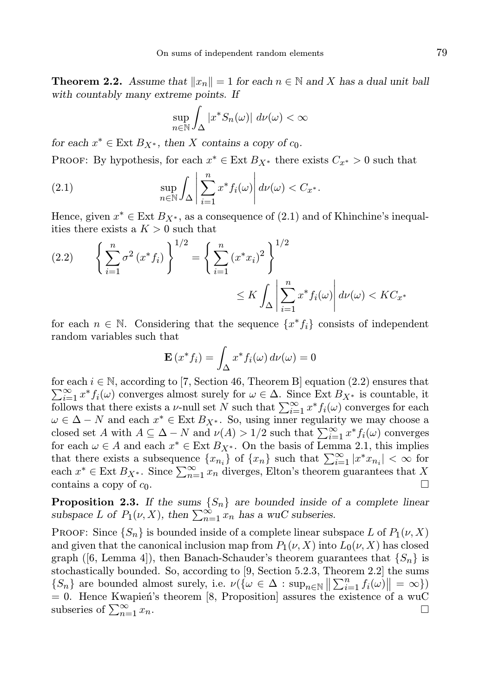**Theorem 2.2.** Assume that  $||x_n|| = 1$  for each  $n \in \mathbb{N}$  and X has a dual unit ball with countably many extreme points. If

$$
\sup_{n \in \mathbb{N}} \int_{\Delta} |x^* S_n(\omega)| \ d\nu(\omega) < \infty
$$

for each  $x^* \in \text{Ext } B_{X^*}$ , then X contains a copy of  $c_0$ .

PROOF: By hypothesis, for each  $x^* \in \text{Ext } B_{X^*}$  there exists  $C_{x^*} > 0$  such that

(2.1) 
$$
\sup_{n \in \mathbb{N}} \int_{\Delta} \left| \sum_{i=1}^{n} x^* f_i(\omega) \right| d\nu(\omega) < C_{x^*}.
$$

Hence, given  $x^* \in \text{Ext } B_{X^*}$ , as a consequence of  $(2.1)$  and of Khinchine's inequalities there exists a  $K > 0$  such that

$$
(2.2) \qquad \left\{ \sum_{i=1}^{n} \sigma^{2} (x^{*} f_{i}) \right\}^{1/2} = \left\{ \sum_{i=1}^{n} (x^{*} x_{i})^{2} \right\}^{1/2}
$$

$$
\leq K \int_{\Delta} \left| \sum_{i=1}^{n} x^{*} f_{i}(\omega) \right| d\nu(\omega) < K C_{x^{*}}
$$

for each  $n \in \mathbb{N}$ . Considering that the sequence  $\{x^* f_i\}$  consists of independent random variables such that

$$
\mathbf{E}\left(x^*f_i\right) = \int_{\Delta} x^* f_i(\omega) d\nu(\omega) = 0
$$

for each  $i \in \mathbb{N}$ , according to [7, Section 46, Theorem B] equation (2.2) ensures that  $\sum_{i=1}^{\infty} x^* f_i(\omega)$  converges almost surely for  $\omega \in \Delta$ . Since Ext  $B_{X^*}$  is countable, it follows that there exists a *v*-null set N such that  $\sum_{i=1}^{\infty} x^* f_i(\omega)$  converges for each  $\omega \in \Delta - N$  and each  $x^* \in \text{Ext } B_{X^*}$ . So, using inner regularity we may choose a closed set A with  $A \subseteq \Delta - N$  and  $\nu(A) > 1/2$  such that  $\sum_{i=1}^{\infty} x^* f_i(\omega)$  converges for each  $\omega \in A$  and each  $x^* \in \text{Ext } B_{X^*}$ . On the basis of Lemma 2.1, this implies that there exists a subsequence  $\{x_{n_i}\}\$  of  $\{x_n\}$  such that  $\sum_{i=1}^{\infty} |x^*x_{n_i}| < \infty$  for each  $x^* \in \text{Ext } B_{X^*}$ . Since  $\sum_{n=1}^{\infty} x_n$  diverges, Elton's theorem guarantees that X contains a copy of  $c_0$ .

**Proposition 2.3.** If the sums  $\{S_n\}$  are bounded inside of a complete linear subspace L of  $P_1(\nu, X)$ , then  $\sum_{n=1}^{\infty} x_n$  has a wuC subseries.

**PROOF:** Since  $\{S_n\}$  is bounded inside of a complete linear subspace L of  $P_1(\nu, X)$ and given that the canonical inclusion map from  $P_1(\nu, X)$  into  $L_0(\nu, X)$  has closed graph ([6, Lemma 4]), then Banach-Schauder's theorem guarantees that  $\{S_n\}$  is stochastically bounded. So, according to [9, Section 5.2.3, Theorem 2.2] the sums  $\{S_n\}$  are bounded almost surely, i.e.  $\nu(\{\omega \in \Delta : \sup_{n \in \mathbb{N}} || \sum_{i=1}^n f_i(\omega) || = \infty \})$  $= 0$ . Hence Kwapień's theorem [8, Proposition] assures the existence of a wuC subseries of  $\sum_{n=1}^{\infty} x_n$ .  $\sum_{n=1}^{\infty} x_n$ .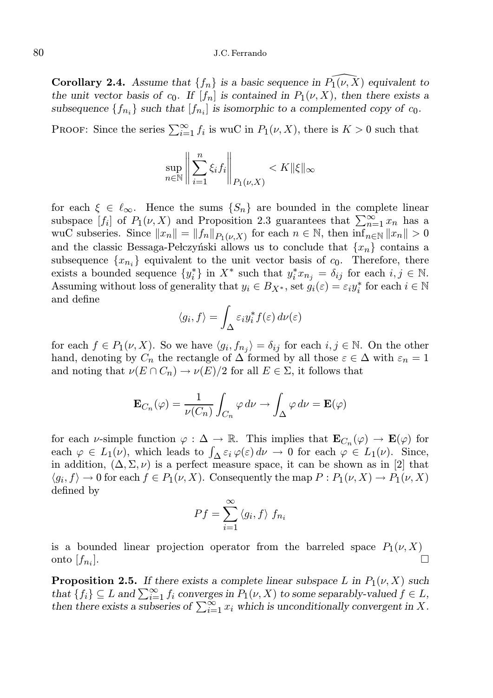# 80 J.C. Ferrando

**Corollary 2.4.** Assume that  $\{f_n\}$  is a basic sequence in  $\overline{P_1}(v, \overline{X})$  equivalent to the unit vector basis of  $c_0$ . If  $[f_n]$  is contained in  $P_1(\nu, X)$ , then there exists a subsequence  $\{f_{n_i}\}\$  such that  $[f_{n_i}]$  is isomorphic to a complemented copy of  $c_0$ .

PROOF: Since the series  $\sum_{i=1}^{\infty} f_i$  is wuC in  $P_1(\nu, X)$ , there is  $K > 0$  such that

$$
\sup_{n \in \mathbb{N}} \left\| \sum_{i=1}^n \xi_i f_i \right\|_{P_1(\nu, X)} < K \|\xi\|_{\infty}
$$

for each  $\xi \in \ell_{\infty}$ . Hence the sums  $\{S_n\}$  are bounded in the complete linear subspace  $[f_i]$  of  $P_1(\nu, X)$  and Proposition 2.3 guarantees that  $\sum_{n=1}^{\infty} x_n$  has a wuC subseries. Since  $||x_n|| = ||f_n||_{P_1(\nu,X)}$  for each  $n \in \mathbb{N}$ , then  $\inf_{n \in \mathbb{N}} ||x_n|| > 0$ and the classic Bessaga-Pełczyński allows us to conclude that  ${x_n}$  contains a subsequence  $\{x_{n_i}\}\$ equivalent to the unit vector basis of  $c_0$ . Therefore, there exists a bounded sequence  $\{y_i^*\}$  in  $X^*$  such that  $y_i^* x_{n_j} = \delta_{ij}$  for each  $i, j \in \mathbb{N}$ . Assuming without loss of generality that  $y_i \in B_{X^*}$ , set  $g_i(\varepsilon) = \varepsilon_i y_i^*$  for each  $i \in \mathbb{N}$ and define

$$
\langle g_i, f \rangle = \int_{\Delta} \varepsilon_i y_i^* f(\varepsilon) d\nu(\varepsilon)
$$

for each  $f \in P_1(\nu, X)$ . So we have  $\langle g_i, f_{n_j} \rangle = \delta_{ij}$  for each  $i, j \in \mathbb{N}$ . On the other hand, denoting by  $C_n$  the rectangle of  $\Delta$  formed by all those  $\varepsilon \in \Delta$  with  $\varepsilon_n = 1$ and noting that  $\nu(E \cap C_n) \to \nu(E)/2$  for all  $E \in \Sigma$ , it follows that

$$
\mathbf{E}_{C_n}(\varphi) = \frac{1}{\nu(C_n)} \int_{C_n} \varphi \, d\nu \to \int_{\Delta} \varphi \, d\nu = \mathbf{E}(\varphi)
$$

for each v-simple function  $\varphi : \Delta \to \mathbb{R}$ . This implies that  $\mathbf{E}_{C_n}(\varphi) \to \mathbf{E}(\varphi)$  for each  $\varphi \in L_1(\nu)$ , which leads to  $\int_{\Delta} \varepsilon_i \varphi(\varepsilon) d\nu \to 0$  for each  $\varphi \in L_1(\nu)$ . Since, in addition,  $(\Delta, \Sigma, \nu)$  is a perfect measure space, it can be shown as in [2] that  $\langle g_i, f \rangle \to 0$  for each  $f \in P_1(\nu, X)$ . Consequently the map  $P: P_1(\nu, X) \to P_1(\nu, X)$ defined by

$$
Pf = \sum_{i=1}^{\infty} \langle g_i, f \rangle f_{n_i}
$$

is a bounded linear projection operator from the barreled space  $P_1(\nu, X)$ onto  $[f_{n_i}].$ ].

**Proposition 2.5.** If there exists a complete linear subspace L in  $P_1(\nu, X)$  such that  $\{f_i\} \subseteq L$  and  $\sum_{i=1}^{\infty} f_i$  converges in  $P_1(\nu, X)$  to some separably-valued  $f \in L$ , then there exists a subseries of  $\sum_{i=1}^{\infty} x_i$  which is unconditionally convergent in X.